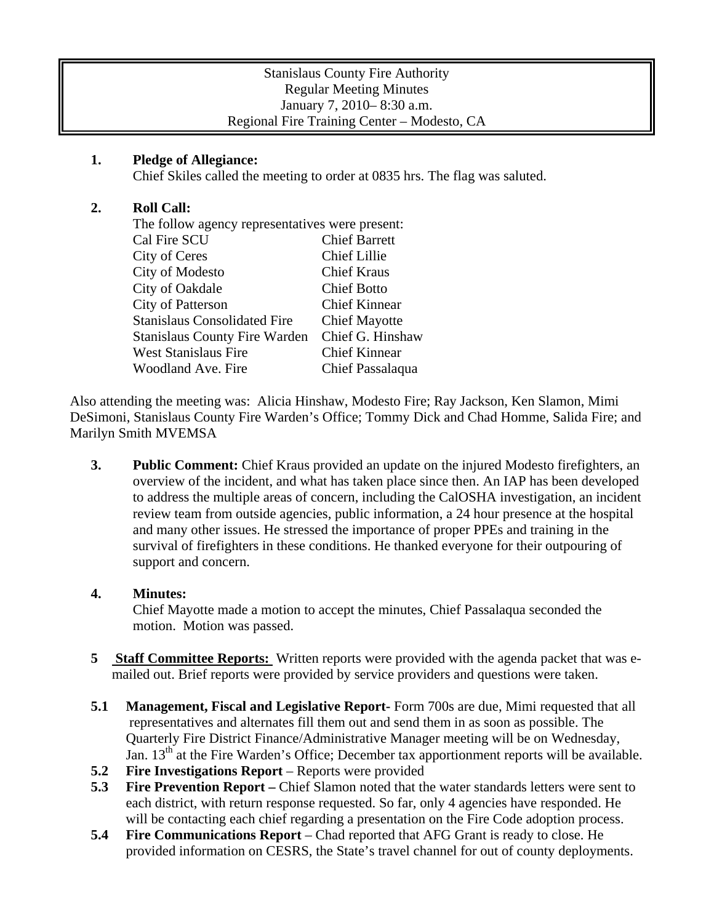| <b>Stanislaus County Fire Authority</b>     |
|---------------------------------------------|
| <b>Regular Meeting Minutes</b>              |
| January 7, 2010–8:30 a.m.                   |
| Regional Fire Training Center – Modesto, CA |

## **1. Pledge of Allegiance:**

Chief Skiles called the meeting to order at 0835 hrs. The flag was saluted.

## **2. Roll Call:**

| The follow agency representatives were present: |                      |
|-------------------------------------------------|----------------------|
| Cal Fire SCU                                    | <b>Chief Barrett</b> |
| City of Ceres                                   | <b>Chief Lillie</b>  |
| City of Modesto                                 | <b>Chief Kraus</b>   |
| City of Oakdale                                 | <b>Chief Botto</b>   |
| <b>City of Patterson</b>                        | <b>Chief Kinnear</b> |
| <b>Stanislaus Consolidated Fire</b>             | <b>Chief Mayotte</b> |
| <b>Stanislaus County Fire Warden</b>            | Chief G. Hinshaw     |
| <b>West Stanislaus Fire</b>                     | <b>Chief Kinnear</b> |
| Woodland Ave. Fire                              | Chief Passalaqua     |

Also attending the meeting was: Alicia Hinshaw, Modesto Fire; Ray Jackson, Ken Slamon, Mimi DeSimoni, Stanislaus County Fire Warden's Office; Tommy Dick and Chad Homme, Salida Fire; and Marilyn Smith MVEMSA

**3. Public Comment:** Chief Kraus provided an update on the injured Modesto firefighters, an overview of the incident, and what has taken place since then. An IAP has been developed to address the multiple areas of concern, including the CalOSHA investigation, an incident review team from outside agencies, public information, a 24 hour presence at the hospital and many other issues. He stressed the importance of proper PPEs and training in the survival of firefighters in these conditions. He thanked everyone for their outpouring of support and concern.

## **4. Minutes:**

Chief Mayotte made a motion to accept the minutes, Chief Passalaqua seconded the motion. Motion was passed.

- **5** Staff Committee Reports: Written reports were provided with the agenda packet that was emailed out. Brief reports were provided by service providers and questions were taken.
- **5.1 Management, Fiscal and Legislative Report-** Form 700s are due, Mimi requested that all representatives and alternates fill them out and send them in as soon as possible. The Quarterly Fire District Finance/Administrative Manager meeting will be on Wednesday, Jan. 13<sup>th</sup> at the Fire Warden's Office; December tax apportionment reports will be available.
- **5.2 Fire Investigations Report** Reports were provided
- **5.3 Fire Prevention Report** Chief Slamon noted that the water standards letters were sent to each district, with return response requested. So far, only 4 agencies have responded. He will be contacting each chief regarding a presentation on the Fire Code adoption process.
- **5.4 Fire Communications Report** Chad reported that AFG Grant is ready to close. He provided information on CESRS, the State's travel channel for out of county deployments.